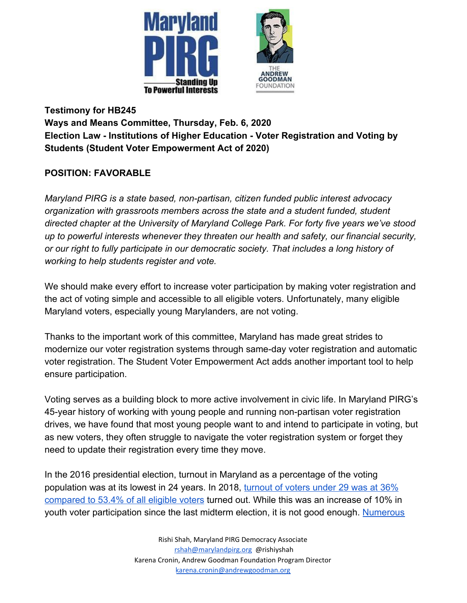



**Testimony for HB245 Ways and Means Committee, Thursday, Feb. 6, 2020 Election Law - Institutions of Higher Education - Voter Registration and Voting by Students (Student Voter Empowerment Act of 2020)**

#### **POSITION: FAVORABLE**

*Maryland PIRG is a state based, non-partisan, citizen funded public interest advocacy organization with grassroots members across the state and a student funded, student directed chapter at the University of Maryland College Park. For forty five years we've stood up to powerful interests whenever they threaten our health and safety, our financial security, or our right to fully participate in our democratic society. That includes a long history of working to help students register and vote.*

We should make every effort to increase voter participation by making voter registration and the act of voting simple and accessible to all eligible voters. Unfortunately, many eligible Maryland voters, especially young Marylanders, are not voting.

Thanks to the important work of this committee, Maryland has made great strides to modernize our voter registration systems through same-day voter registration and automatic voter registration. The Student Voter Empowerment Act adds another important tool to help ensure participation.

Voting serves as a building block to more active involvement in civic life. In Maryland PIRG's 45-year history of working with young people and running non-partisan voter registration drives, we have found that most young people want to and intend to participate in voting, but as new voters, they often struggle to navigate the voter registration system or forget they need to update their registration every time they move.

In the 2016 presidential election, turnout in Maryland as a percentage of the voting population was at its lowest in 24 years. In 2018, [turnout of voters under 29 was at 36%](https://www.census.gov/library/stories/2019/04/behind-2018-united-states-midterm-election-turnout.html) [compared to 53.4% of all eligible voters](https://www.census.gov/library/stories/2019/04/behind-2018-united-states-midterm-election-turnout.html) turned out. While this was an increase of 10% in youth voter participation since the last midterm election, it is not good enough. [Numerous](https://www.rockthevote.org/wp-content/uploads/publications/research/rtv_voting_is_a_habit-2007.pdf)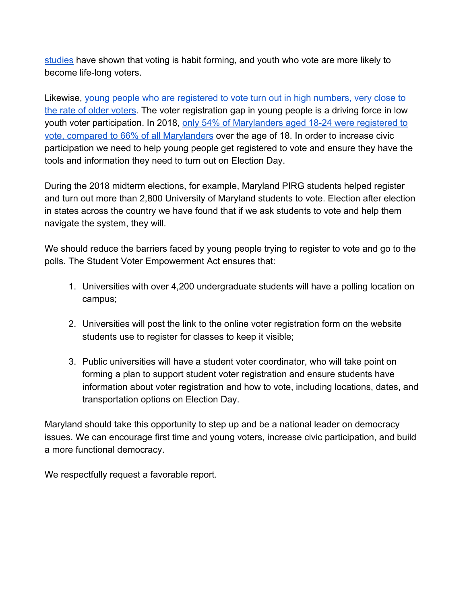[studies](https://www.rockthevote.org/wp-content/uploads/publications/research/rtv_voting_is_a_habit-2007.pdf) have shown that voting is habit forming, and youth who vote are more likely to become life-long voters.

Likewise, [young people who are registered to vote turn out in high numbers, very close to](https://civicyouth.org/quick-facts/youth-voting) [the rate of older voters](https://civicyouth.org/quick-facts/youth-voting). The voter registration gap in young people is a driving force in low youth voter participation. In 2018, [only 54% of Marylanders aged 18-24 were registered to](https://www.census.gov/data/tables/time-series/demo/voting-and-registration/p20-583.html) [vote, compared to 66% of all Marylanders](https://www.census.gov/data/tables/time-series/demo/voting-and-registration/p20-583.html) over the age of 18. In order to increase civic participation we need to help young people get registered to vote and ensure they have the tools and information they need to turn out on Election Day.

During the 2018 midterm elections, for example, Maryland PIRG students helped register and turn out more than 2,800 University of Maryland students to vote. Election after election in states across the country we have found that if we ask students to vote and help them navigate the system, they will.

We should reduce the barriers faced by young people trying to register to vote and go to the polls. The Student Voter Empowerment Act ensures that:

- 1. Universities with over 4,200 undergraduate students will have a polling location on campus;
- 2. Universities will post the link to the online voter registration form on the website students use to register for classes to keep it visible;
- 3. Public universities will have a student voter coordinator, who will take point on forming a plan to support student voter registration and ensure students have information about voter registration and how to vote, including locations, dates, and transportation options on Election Day.

Maryland should take this opportunity to step up and be a national leader on democracy issues. We can encourage first time and young voters, increase civic participation, and build a more functional democracy.

We respectfully request a favorable report.